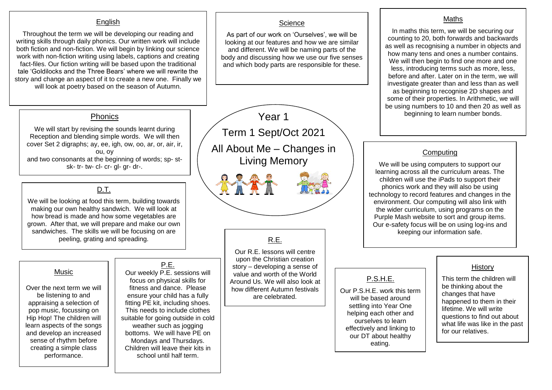#### **English**

Throughout the term we will be developing our reading and writing skills through daily phonics. Our written work will include both fiction and non-fiction. We will begin by linking our science work with non-fiction writing using labels, captions and creating fact-files. Our fiction writing will be based upon the traditional tale 'Goldilocks and the Three Bears' where we will rewrite the story and change an aspect of it to create a new one. Finally we will look at poetry based on the season of Autumn.

# Phonics

We will start by revising the sounds learnt during Reception and blending simple words. We will then cover Set 2 digraphs; ay, ee, igh, ow, oo, ar, or, air, ir, ou, oy and two consonants at the beginning of words; sp- stsk- tr- tw- cl- cr- gl- gr- dr-.

## D.T.

We will be looking at food this term, building towards making our own healthy sandwich. We will look at how bread is made and how some vegetables are grown. After that, we will prepare and make our own sandwiches. The skills we will be focusing on are peeling, grating and spreading.

#### Music

Over the next term we will be listening to and appraising a selection of pop music, focussing on Hip Hop! The children will learn aspects of the songs and develop an increased sense of rhythm before creating a simple class performance.

#### P.E. Our weekly P.E. sessions will focus on physical skills for fitness and dance. Please ensure your child has a fully fitting PE kit, including shoes. This needs to include clothes suitable for going outside in cold weather such as jogging bottoms. We will have PE on Mondays and Thursdays. Children will leave their kits in school until half term.

Year 1 Term 1 Sept/Oct 2021 All About Me – Changes in Living Memory

**Science** As part of our work on 'Ourselves', we will be looking at our features and how we are similar and different. We will be naming parts of the body and discussing how we use our five senses and which body parts are responsible for these.

# R.E.

Our R.E. lessons will centre upon the Christian creation story – developing a sense of value and worth of the World Around Us. We will also look at how different Autumn festivals are celebrated.

#### **Maths**

In maths this term, we will be securing our counting to 20, both forwards and backwards as well as recognising a number in objects and how many tens and ones a number contains. We will then begin to find one more and one less, introducing terms such as more, less, before and after. Later on in the term, we will investigate greater than and less than as well as beginning to recognise 2D shapes and some of their properties. In Arithmetic, we will be using numbers to 10 and then 20 as well as beginning to learn number bonds.

### **Computing**

We will be using computers to support our learning across all the curriculum areas. The children will use the iPads to support their phonics work and they will also be using technology to record features and changes in the environment. Our computing will also link with the wider curriculum, using programs on the Purple Mash website to sort and group items. Our e-safety focus will be on using log-ins and keeping our information safe.

P.S.H.E.

will be based around settling into Year One helping each other and ourselves to learn effectively and linking to our DT about healthy eating.

## **History**

This term the children will be thinking about the changes that have happened to them in their lifetime. We will write questions to find out about what life was like in the past for our relatives.

Our P.S.H.E. work this term